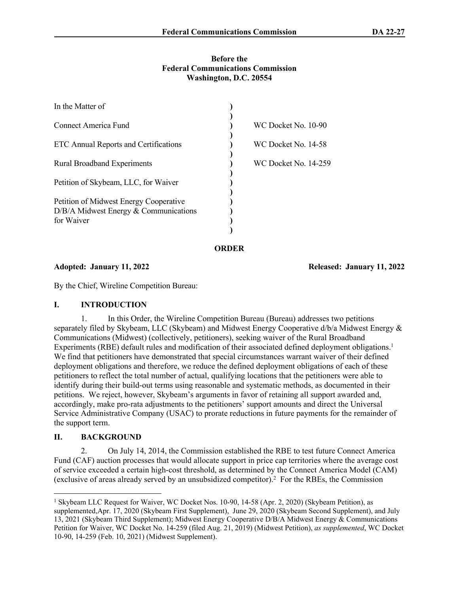#### **Before the Federal Communications Commission Washington, D.C. 20554**

| In the Matter of                        |                             |
|-----------------------------------------|-----------------------------|
| Connect America Fund                    | WC Docket No. 10-90         |
| ETC Annual Reports and Certifications   | WC Docket No. 14-58         |
| <b>Rural Broadband Experiments</b>      | <b>WC Docket No. 14-259</b> |
| Petition of Skybeam, LLC, for Waiver    |                             |
| Petition of Midwest Energy Cooperative  |                             |
| $D/B/A$ Midwest Energy & Communications |                             |
| for Waiver                              |                             |
|                                         |                             |

**ORDER**

**Adopted: January 11, 2022 Released: January 11, 2022**

By the Chief, Wireline Competition Bureau:

#### **I. INTRODUCTION**

1. In this Order, the Wireline Competition Bureau (Bureau) addresses two petitions separately filed by Skybeam, LLC (Skybeam) and Midwest Energy Cooperative d/b/a Midwest Energy & Communications (Midwest) (collectively, petitioners), seeking waiver of the Rural Broadband Experiments (RBE) default rules and modification of their associated defined deployment obligations.<sup>1</sup> We find that petitioners have demonstrated that special circumstances warrant waiver of their defined deployment obligations and therefore, we reduce the defined deployment obligations of each of these petitioners to reflect the total number of actual, qualifying locations that the petitioners were able to identify during their build-out terms using reasonable and systematic methods, as documented in their petitions. We reject, however, Skybeam's arguments in favor of retaining all support awarded and, accordingly, make pro-rata adjustments to the petitioners' support amounts and direct the Universal Service Administrative Company (USAC) to prorate reductions in future payments for the remainder of the support term.

## **II. BACKGROUND**

2. On July 14, 2014, the Commission established the RBE to test future Connect America Fund (CAF) auction processes that would allocate support in price cap territories where the average cost of service exceeded a certain high-cost threshold, as determined by the Connect America Model (CAM) (exclusive of areas already served by an unsubsidized competitor).<sup>2</sup> For the RBEs, the Commission

<sup>&</sup>lt;sup>1</sup> Skybeam LLC Request for Waiver, WC Docket Nos. 10-90, 14-58 (Apr. 2, 2020) (Skybeam Petition), as supplemented,Apr. 17, 2020 (Skybeam First Supplement), June 29, 2020 (Skybeam Second Supplement), and July 13, 2021 (Skybeam Third Supplement); Midwest Energy Cooperative D/B/A Midwest Energy & Communications Petition for Waiver, WC Docket No. 14-259 (filed Aug. 21, 2019) (Midwest Petition), *as supplemented*, WC Docket 10-90, 14-259 (Feb. 10, 2021) (Midwest Supplement).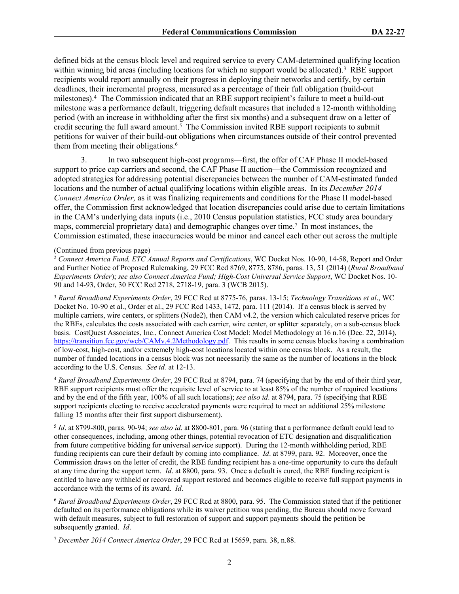defined bids at the census block level and required service to every CAM-determined qualifying location within winning bid areas (including locations for which no support would be allocated).<sup>3</sup> RBE support recipients would report annually on their progress in deploying their networks and certify, by certain deadlines, their incremental progress, measured as a percentage of their full obligation (build-out milestones).<sup>4</sup> The Commission indicated that an RBE support recipient's failure to meet a build-out milestone was a performance default, triggering default measures that included a 12-month withholding period (with an increase in withholding after the first six months) and a subsequent draw on a letter of credit securing the full award amount.<sup>5</sup> The Commission invited RBE support recipients to submit petitions for waiver of their build-out obligations when circumstances outside of their control prevented them from meeting their obligations.<sup>6</sup>

3. In two subsequent high-cost programs—first, the offer of CAF Phase II model-based support to price cap carriers and second, the CAF Phase II auction—the Commission recognized and adopted strategies for addressing potential discrepancies between the number of CAM-estimated funded locations and the number of actual qualifying locations within eligible areas. In its *December 2014 Connect America Order,* as it was finalizing requirements and conditions for the Phase II model-based offer, the Commission first acknowledged that location discrepancies could arise due to certain limitations in the CAM's underlying data inputs (i.e., 2010 Census population statistics, FCC study area boundary maps, commercial proprietary data) and demographic changes over time.<sup>7</sup> In most instances, the Commission estimated, these inaccuracies would be minor and cancel each other out across the multiple

#### (Continued from previous page)

<sup>2</sup> *Connect America Fund, ETC Annual Reports and Certifications*, WC Docket Nos. 10-90, 14-58, Report and Order and Further Notice of Proposed Rulemaking, 29 FCC Rcd 8769, 8775, 8786, paras. 13, 51 (2014) (*Rural Broadband Experiments Order*); *see also Connect America Fund; High-Cost Universal Service Support*, WC Docket Nos. 10- 90 and 14-93, Order, 30 FCC Rcd 2718, 2718-19, para. 3 (WCB 2015).

<sup>3</sup> *Rural Broadband Experiments Order*, 29 FCC Rcd at 8775-76, paras. 13-15; *Technology Transitions et al*., WC Docket No. 10-90 et al., Order et al., 29 FCC Rcd 1433, 1472, para. 111 (2014). If a census block is served by multiple carriers, wire centers, or splitters (Node2), then CAM v4.2, the version which calculated reserve prices for the RBEs, calculates the costs associated with each carrier, wire center, or splitter separately, on a sub-census block basis. CostQuest Associates, Inc., Connect America Cost Model: Model Methodology at 16 n.16 (Dec. 22, 2014), <https://transition.fcc.gov/wcb/CAMv.4.2Methodology.pdf>. This results in some census blocks having a combination of low-cost, high-cost, and/or extremely high-cost locations located within one census block. As a result, the number of funded locations in a census block was not necessarily the same as the number of locations in the block according to the U.S. Census. *See id.* at 12-13.

<sup>4</sup> *Rural Broadband Experiments Order*, 29 FCC Rcd at 8794, para. 74 (specifying that by the end of their third year, RBE support recipients must offer the requisite level of service to at least 85% of the number of required locations and by the end of the fifth year, 100% of all such locations); *see also id*. at 8794, para. 75 (specifying that RBE support recipients electing to receive accelerated payments were required to meet an additional 25% milestone falling 15 months after their first support disbursement).

5 *Id*. at 8799-800, paras. 90-94; *see also id*. at 8800-801, para. 96 (stating that a performance default could lead to other consequences, including, among other things, potential revocation of ETC designation and disqualification from future competitive bidding for universal service support). During the 12-month withholding period, RBE funding recipients can cure their default by coming into compliance. *Id*. at 8799, para. 92. Moreover, once the Commission draws on the letter of credit, the RBE funding recipient has a one-time opportunity to cure the default at any time during the support term. *Id*. at 8800, para. 93. Once a default is cured, the RBE funding recipient is entitled to have any withheld or recovered support restored and becomes eligible to receive full support payments in accordance with the terms of its award. *Id*.

<sup>6</sup> *Rural Broadband Experiments Order*, 29 FCC Rcd at 8800, para. 95. The Commission stated that if the petitioner defaulted on its performance obligations while its waiver petition was pending, the Bureau should move forward with default measures, subject to full restoration of support and support payments should the petition be subsequently granted. *Id*.

<sup>7</sup> *December 2014 Connect America Order*, 29 FCC Rcd at 15659, para. 38, n.88.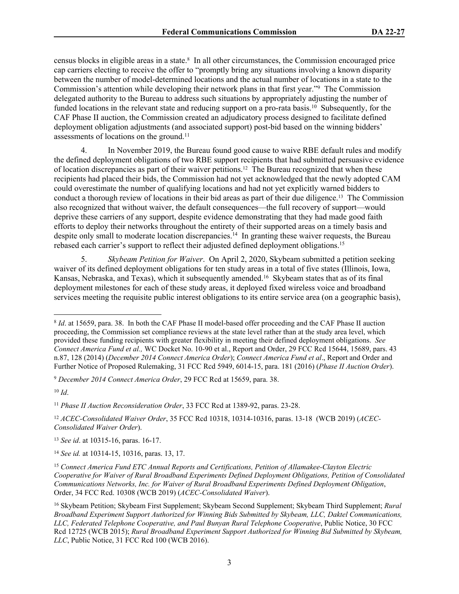census blocks in eligible areas in a state.<sup>8</sup> In all other circumstances, the Commission encouraged price cap carriers electing to receive the offer to "promptly bring any situations involving a known disparity between the number of model-determined locations and the actual number of locations in a state to the Commission's attention while developing their network plans in that first year."<sup>9</sup> The Commission delegated authority to the Bureau to address such situations by appropriately adjusting the number of funded locations in the relevant state and reducing support on a pro-rata basis.<sup>10</sup> Subsequently, for the CAF Phase II auction, the Commission created an adjudicatory process designed to facilitate defined deployment obligation adjustments (and associated support) post-bid based on the winning bidders' assessments of locations on the ground.<sup>11</sup>

4. In November 2019, the Bureau found good cause to waive RBE default rules and modify the defined deployment obligations of two RBE support recipients that had submitted persuasive evidence of location discrepancies as part of their waiver petitions.12 The Bureau recognized that when these recipients had placed their bids, the Commission had not yet acknowledged that the newly adopted CAM could overestimate the number of qualifying locations and had not yet explicitly warned bidders to conduct a thorough review of locations in their bid areas as part of their due diligence.13 The Commission also recognized that without waiver, the default consequences—the full recovery of support—would deprive these carriers of any support, despite evidence demonstrating that they had made good faith efforts to deploy their networks throughout the entirety of their supported areas on a timely basis and despite only small to moderate location discrepancies.<sup>14</sup> In granting these waiver requests, the Bureau rebased each carrier's support to reflect their adjusted defined deployment obligations.<sup>15</sup>

5. *Skybeam Petition for Waiver*. On April 2, 2020, Skybeam submitted a petition seeking waiver of its defined deployment obligations for ten study areas in a total of five states (Illinois, Iowa, Kansas, Nebraska, and Texas), which it subsequently amended.<sup>16</sup> Skybeam states that as of its final deployment milestones for each of these study areas, it deployed fixed wireless voice and broadband services meeting the requisite public interest obligations to its entire service area (on a geographic basis),

<sup>9</sup> *December 2014 Connect America Order*, 29 FCC Rcd at 15659, para. 38.

<sup>11</sup> *Phase II Auction Reconsideration Order*, 33 FCC Rcd at 1389-92, paras. 23-28.

<sup>&</sup>lt;sup>8</sup> *Id.* at 15659, para. 38. In both the CAF Phase II model-based offer proceeding and the CAF Phase II auction proceeding, the Commission set compliance reviews at the state level rather than at the study area level, which provided these funding recipients with greater flexibility in meeting their defined deployment obligations. *See Connect America Fund et al.,* WC Docket No. 10-90 et al., Report and Order, 29 FCC Rcd 15644, 15689, pars. 43 n.87, 128 (2014) (*December 2014 Connect America Order*); *Connect America Fund et al*., Report and Order and Further Notice of Proposed Rulemaking, 31 FCC Rcd 5949, 6014-15, para. 181 (2016) (*Phase II Auction Order*).

<sup>10</sup> *Id*.

<sup>12</sup> *ACEC-Consolidated Waiver Order*, 35 FCC Rcd 10318, 10314-10316, paras. 13-18 (WCB 2019) (*ACEC-Consolidated Waiver Order*).

<sup>13</sup> *See id*. at 10315-16, paras. 16-17.

<sup>14</sup> *See id.* at 10314-15, 10316, paras. 13, 17.

<sup>15</sup> *Connect America Fund ETC Annual Reports and Certifications, Petition of Allamakee-Clayton Electric Cooperative for Waiver of Rural Broadband Experiments Defined Deployment Obligations, Petition of Consolidated Communications Networks, Inc. for Waiver of Rural Broadband Experiments Defined Deployment Obligation*, Order, 34 FCC Rcd. 10308 (WCB 2019) (*ACEC-Consolidated Waiver*).

<sup>16</sup> Skybeam Petition; Skybeam First Supplement; Skybeam Second Supplement; Skybeam Third Supplement; *Rural Broadband Experiment Support Authorized for Winning Bids Submitted by Skybeam, LLC, Daktel Communications, LLC, Federated Telephone Cooperative, and Paul Bunyan Rural Telephone Cooperative*, Public Notice, 30 FCC Rcd 12725 (WCB 2015); *Rural Broadband Experiment Support Authorized for Winning Bid Submitted by Skybeam, LLC*, Public Notice, 31 FCC Rcd 100 (WCB 2016).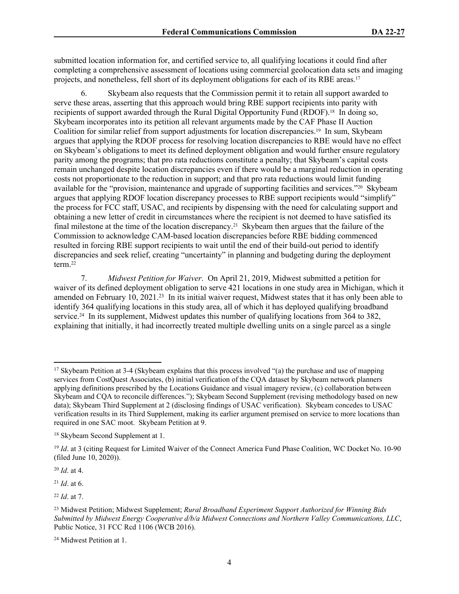submitted location information for, and certified service to, all qualifying locations it could find after completing a comprehensive assessment of locations using commercial geolocation data sets and imaging projects, and nonetheless, fell short of its deployment obligations for each of its RBE areas.<sup>17</sup>

Skybeam also requests that the Commission permit it to retain all support awarded to serve these areas, asserting that this approach would bring RBE support recipients into parity with recipients of support awarded through the Rural Digital Opportunity Fund (RDOF).18 In doing so, Skybeam incorporates into its petition all relevant arguments made by the CAF Phase II Auction Coalition for similar relief from support adjustments for location discrepancies.19 In sum, Skybeam argues that applying the RDOF process for resolving location discrepancies to RBE would have no effect on Skybeam's obligations to meet its defined deployment obligation and would further ensure regulatory parity among the programs; that pro rata reductions constitute a penalty; that Skybeam's capital costs remain unchanged despite location discrepancies even if there would be a marginal reduction in operating costs not proportionate to the reduction in support; and that pro rata reductions would limit funding available for the "provision, maintenance and upgrade of supporting facilities and services."20 Skybeam argues that applying RDOF location discrepancy processes to RBE support recipients would "simplify" the process for FCC staff, USAC, and recipients by dispensing with the need for calculating support and obtaining a new letter of credit in circumstances where the recipient is not deemed to have satisfied its final milestone at the time of the location discrepancy.21 Skybeam then argues that the failure of the Commission to acknowledge CAM-based location discrepancies before RBE bidding commenced resulted in forcing RBE support recipients to wait until the end of their build-out period to identify discrepancies and seek relief, creating "uncertainty" in planning and budgeting during the deployment term.<sup>22</sup>

7. *Midwest Petition for Waiver*. On April 21, 2019, Midwest submitted a petition for waiver of its defined deployment obligation to serve 421 locations in one study area in Michigan, which it amended on February 10, 2021.<sup>23</sup> In its initial waiver request, Midwest states that it has only been able to identify 364 qualifying locations in this study area, all of which it has deployed qualifying broadband service.<sup>24</sup> In its supplement, Midwest updates this number of qualifying locations from 364 to 382, explaining that initially, it had incorrectly treated multiple dwelling units on a single parcel as a single

<sup>20</sup> *Id*. at 4.

 $^{21}$  *Id.* at 6.

<sup>22</sup> *Id*. at 7.

<sup>17</sup> Skybeam Petition at 3-4 (Skybeam explains that this process involved "(a) the purchase and use of mapping services from CostQuest Associates, (b) initial verification of the CQA dataset by Skybeam network planners applying definitions prescribed by the Locations Guidance and visual imagery review, (c) collaboration between Skybeam and CQA to reconcile differences."); Skybeam Second Supplement (revising methodology based on new data); Skybeam Third Supplement at 2 (disclosing findings of USAC verification). Skybeam concedes to USAC verification results in its Third Supplement, making its earlier argument premised on service to more locations than required in one SAC moot. Skybeam Petition at 9.

<sup>18</sup> Skybeam Second Supplement at 1.

<sup>&</sup>lt;sup>19</sup> *Id.* at 3 (citing Request for Limited Waiver of the Connect America Fund Phase Coalition, WC Docket No. 10-90 (filed June 10, 2020)).

<sup>23</sup> Midwest Petition; Midwest Supplement; *Rural Broadband Experiment Support Authorized for Winning Bids Submitted by Midwest Energy Cooperative d/b/a Midwest Connections and Northern Valley Communications, LLC*, Public Notice, 31 FCC Rcd 1106 (WCB 2016).

<sup>24</sup> Midwest Petition at 1.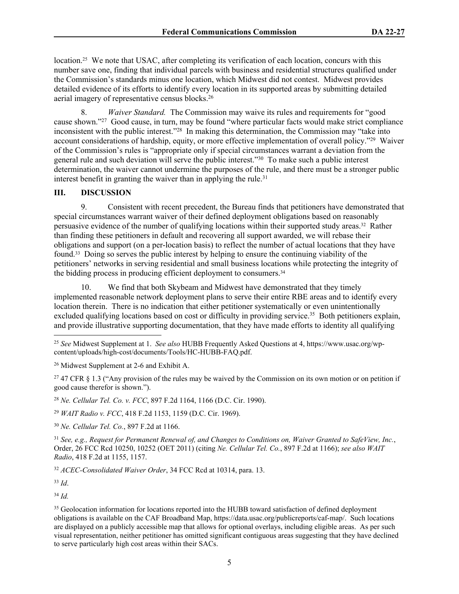location.<sup>25</sup> We note that USAC, after completing its verification of each location, concurs with this number save one, finding that individual parcels with business and residential structures qualified under the Commission's standards minus one location, which Midwest did not contest. Midwest provides detailed evidence of its efforts to identify every location in its supported areas by submitting detailed aerial imagery of representative census blocks.<sup>26</sup>

8. *Waiver Standard.* The Commission may waive its rules and requirements for "good cause shown."<sup>27</sup> Good cause, in turn, may be found "where particular facts would make strict compliance inconsistent with the public interest."<sup>28</sup> In making this determination, the Commission may "take into account considerations of hardship, equity, or more effective implementation of overall policy."<sup>29</sup> Waiver of the Commission's rules is "appropriate only if special circumstances warrant a deviation from the general rule and such deviation will serve the public interest."<sup>30</sup> To make such a public interest determination, the waiver cannot undermine the purposes of the rule, and there must be a stronger public interest benefit in granting the waiver than in applying the rule.<sup>31</sup>

## **III. DISCUSSION**

9. Consistent with recent precedent, the Bureau finds that petitioners have demonstrated that special circumstances warrant waiver of their defined deployment obligations based on reasonably persuasive evidence of the number of qualifying locations within their supported study areas.32 Rather than finding these petitioners in default and recovering all support awarded, we will rebase their obligations and support (on a per-location basis) to reflect the number of actual locations that they have found.33 Doing so serves the public interest by helping to ensure the continuing viability of the petitioners' networks in serving residential and small business locations while protecting the integrity of the bidding process in producing efficient deployment to consumers.<sup>34</sup>

10. We find that both Skybeam and Midwest have demonstrated that they timely implemented reasonable network deployment plans to serve their entire RBE areas and to identify every location therein. There is no indication that either petitioner systematically or even unintentionally excluded qualifying locations based on cost or difficulty in providing service.<sup>35</sup> Both petitioners explain, and provide illustrative supporting documentation, that they have made efforts to identity all qualifying

<sup>27</sup> 47 CFR § 1.3 ("Any provision of the rules may be waived by the [Commission](https://www.law.cornell.edu/definitions/index.php?width=840&height=800&iframe=true&def_id=a6297a35c9ac3fd0044718728be4adbe&term_occur=1&term_src=Title:47:Chapter:I:Subchapter:A:Part:1:Subpart:A:Subjgrp:147:1.3) on its own motion or on petition if good cause therefor is shown.").

<sup>28</sup> *Ne. Cellular Tel. Co. v. FCC*, 897 F.2d 1164, 1166 (D.C. Cir. 1990).

<sup>29</sup> *WAIT Radio v. FCC*, 418 F.2d 1153, 1159 (D.C. Cir. 1969).

<sup>30</sup> *Ne. Cellular Tel. Co.*, 897 F.2d at 1166.

<sup>31</sup> *See, e.g., Request for Permanent Renewal of, and Changes to Conditions on, Waiver Granted to SafeView, Inc.*, Order, 26 FCC Rcd 10250, 10252 (OET 2011) (citing *Ne. Cellular Tel. Co.*, 897 F.2d at 1166); *see also WAIT Radio*, 418 F.2d at 1155, 1157.

<sup>32</sup> *ACEC-Consolidated Waiver Order*, 34 FCC Rcd at 10314, para. 13.

<sup>33</sup> *Id*.

<sup>34</sup> *Id.*

<sup>25</sup> *See* Midwest Supplement at 1. *See also* HUBB Frequently Asked Questions at 4, https://www.usac.org/wpcontent/uploads/high-cost/documents/Tools/HC-HUBB-FAQ.pdf.

<sup>26</sup> Midwest Supplement at 2-6 and Exhibit A.

<sup>&</sup>lt;sup>35</sup> Geolocation information for locations reported into the HUBB toward satisfaction of defined deployment obligations is available on the CAF Broadband Map, https://data.usac.org/publicreports/caf-map/. Such locations are displayed on a publicly accessible map that allows for optional overlays, including eligible areas. As per such visual representation, neither petitioner has omitted significant contiguous areas suggesting that they have declined to serve particularly high cost areas within their SACs.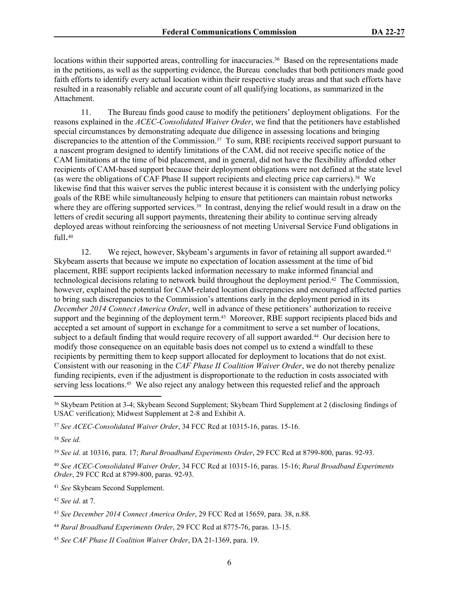locations within their supported areas, controlling for inaccuracies.<sup>36</sup> Based on the representations made in the petitions, as well as the supporting evidence, the Bureau concludes that both petitioners made good faith efforts to identify every actual location within their respective study areas and that such efforts have resulted in a reasonably reliable and accurate count of all qualifying locations, as summarized in the Attachment.

11. The Bureau finds good cause to modify the petitioners' deployment obligations. For the reasons explained in the *ACEC-Consolidated Waiver Order*, we find that the petitioners have established special circumstances by demonstrating adequate due diligence in assessing locations and bringing discrepancies to the attention of the Commission.<sup>37</sup> To sum, RBE recipients received support pursuant to a nascent program designed to identify limitations of the CAM, did not receive specific notice of the CAM limitations at the time of bid placement, and in general, did not have the flexibility afforded other recipients of CAM-based support because their deployment obligations were not defined at the state level (as were the obligations of CAF Phase II support recipients and electing price cap carriers).38 We likewise find that this waiver serves the public interest because it is consistent with the underlying policy goals of the RBE while simultaneously helping to ensure that petitioners can maintain robust networks where they are offering supported services.<sup>39</sup> In contrast, denying the relief would result in a draw on the letters of credit securing all support payments, threatening their ability to continue serving already deployed areas without reinforcing the seriousness of not meeting Universal Service Fund obligations in full. 40

12. We reject, however, Skybeam's arguments in favor of retaining all support awarded.<sup>41</sup> Skybeam asserts that because we impute no expectation of location assessment at the time of bid placement, RBE support recipients lacked information necessary to make informed financial and technological decisions relating to network build throughout the deployment period.42 The Commission, however, explained the potential for CAM-related location discrepancies and encouraged affected parties to bring such discrepancies to the Commission's attentions early in the deployment period in its *December 2014 Connect America Order*, well in advance of these petitioners' authorization to receive support and the beginning of the deployment term.<sup>43</sup> Moreover, RBE support recipients placed bids and accepted a set amount of support in exchange for a commitment to serve a set number of locations, subject to a default finding that would require recovery of all support awarded.44 Our decision here to modify those consequence on an equitable basis does not compel us to extend a windfall to these recipients by permitting them to keep support allocated for deployment to locations that do not exist. Consistent with our reasoning in the *CAF Phase II Coalition Waiver Order*, we do not thereby penalize funding recipients, even if the adjustment is disproportionate to the reduction in costs associated with serving less locations.45 We also reject any analogy between this requested relief and the approach

<sup>38</sup> *See id*.

<sup>39</sup> *See id*. at 10316, para. 17; *Rural Broadband Experiments Order*, 29 FCC Rcd at 8799-800, paras. 92-93.

<sup>40</sup> *See ACEC-Consolidated Waiver Order*, 34 FCC Rcd at 10315-16, paras. 15-16; *Rural Broadband Experiments Order*, 29 FCC Rcd at 8799-800, paras. 92-93.

<sup>41</sup> *See* Skybeam Second Supplement.

<sup>42</sup> *See id*. at 7.

<sup>36</sup> Skybeam Petition at 3-4; Skybeam Second Supplement; Skybeam Third Supplement at 2 (disclosing findings of USAC verification); Midwest Supplement at 2-8 and Exhibit A.

<sup>37</sup> *See ACEC-Consolidated Waiver Order*, 34 FCC Rcd at 10315-16, paras. 15-16.

<sup>43</sup> *See December 2014 Connect America Order*, 29 FCC Rcd at 15659, para. 38, n.88.

<sup>44</sup> *Rural Broadband Experiments Order*, 29 FCC Rcd at 8775-76, paras. 13-15.

<sup>45</sup> *See CAF Phase II Coalition Waiver Order*, DA 21-1369, para. 19.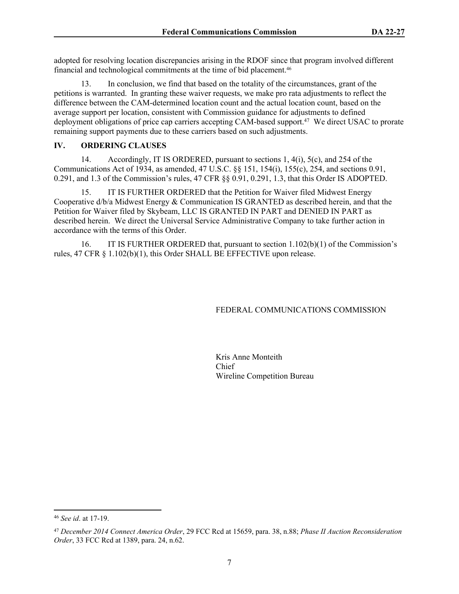adopted for resolving location discrepancies arising in the RDOF since that program involved different financial and technological commitments at the time of bid placement.<sup>46</sup>

13. In conclusion, we find that based on the totality of the circumstances, grant of the petitions is warranted. In granting these waiver requests, we make pro rata adjustments to reflect the difference between the CAM-determined location count and the actual location count, based on the average support per location, consistent with Commission guidance for adjustments to defined deployment obligations of price cap carriers accepting CAM-based support.<sup>47</sup> We direct USAC to prorate remaining support payments due to these carriers based on such adjustments.

#### **IV. ORDERING CLAUSES**

14. Accordingly, IT IS ORDERED, pursuant to sections 1, 4(i), 5(c), and 254 of the Communications Act of 1934, as amended, 47 U.S.C. §§ 151, 154(i), 155(c), 254, and sections 0.91, 0.291, and 1.3 of the Commission's rules, 47 CFR §§ 0.91, 0.291, 1.3, that this Order IS ADOPTED.

15. IT IS FURTHER ORDERED that the Petition for Waiver filed Midwest Energy Cooperative d/b/a Midwest Energy & Communication IS GRANTED as described herein, and that the Petition for Waiver filed by Skybeam, LLC IS GRANTED IN PART and DENIED IN PART as described herein. We direct the Universal Service Administrative Company to take further action in accordance with the terms of this Order.

16. IT IS FURTHER ORDERED that, pursuant to section 1.102(b)(1) of the Commission's rules, 47 CFR § 1.102(b)(1), this Order SHALL BE EFFECTIVE upon release.

## FEDERAL COMMUNICATIONS COMMISSION

Kris Anne Monteith Chief Wireline Competition Bureau

<sup>46</sup> *See id*. at 17-19.

<sup>47</sup> *December 2014 Connect America Order*, 29 FCC Rcd at 15659, para. 38, n.88; *Phase II Auction Reconsideration Order*, 33 FCC Rcd at 1389, para. 24, n.62.